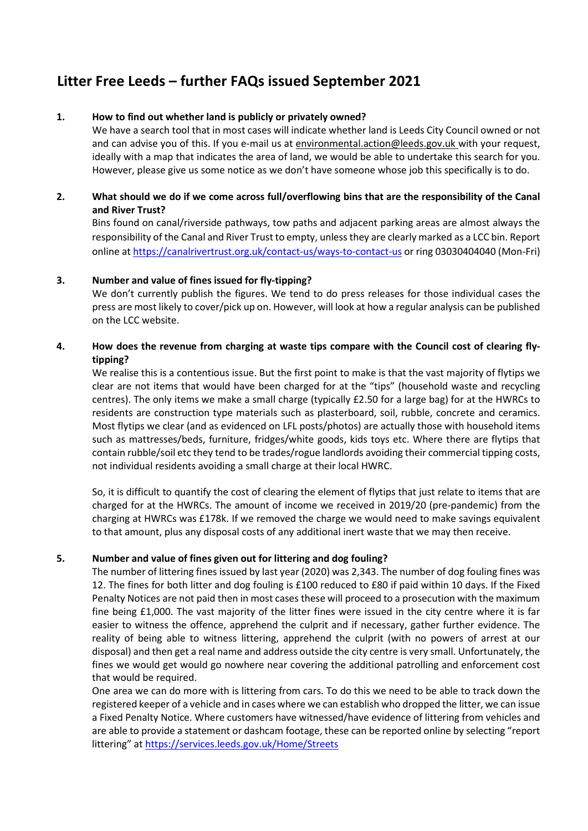# Litter Free Leeds – further FAQs issued September 2021

## 1. How to find out whether land is publicly or privately owned?

We have a search tool that in most cases will indicate whether land is Leeds City Council owned or not and can advise you of this. If you e-mail us at environmental.action@leeds.gov.uk with your request, ideally with a map that indicates the area of land, we would be able to undertake this search for you. However, please give us some notice as we don't have someone whose job this specifically is to do.

# 2. What should we do if we come across full/overflowing bins that are the responsibility of the Canal and River Trust?

Bins found on canal/riverside pathways, tow paths and adjacent parking areas are almost always the responsibility of the Canal and River Trust to empty, unless they are clearly marked as a LCC bin. Report online at https://canalrivertrust.org.uk/contact-us/ways-to-contact-us or ring 03030404040 (Mon-Fri)

## 3. Number and value of fines issued for fly-tipping?

We don't currently publish the figures. We tend to do press releases for those individual cases the press are most likely to cover/pick up on. However, will look at how a regular analysis can be published on the LCC website.

# 4. How does the revenue from charging at waste tips compare with the Council cost of clearing flytipping?

We realise this is a contentious issue. But the first point to make is that the vast majority of flytips we clear are not items that would have been charged for at the "tips" (household waste and recycling centres). The only items we make a small charge (typically £2.50 for a large bag) for at the HWRCs to residents are construction type materials such as plasterboard, soil, rubble, concrete and ceramics. Most flytips we clear (and as evidenced on LFL posts/photos) are actually those with household items such as mattresses/beds, furniture, fridges/white goods, kids toys etc. Where there are flytips that contain rubble/soil etc they tend to be trades/rogue landlords avoiding their commercial tipping costs, not individual residents avoiding a small charge at their local HWRC.

So, it is difficult to quantify the cost of clearing the element of flytips that just relate to items that are charged for at the HWRCs. The amount of income we received in 2019/20 (pre-pandemic) from the charging at HWRCs was £178k. If we removed the charge we would need to make savings equivalent to that amount, plus any disposal costs of any additional inert waste that we may then receive.

# 5. Number and value of fines given out for littering and dog fouling?

The number of littering fines issued by last year (2020) was 2,343. The number of dog fouling fines was 12. The fines for both litter and dog fouling is £100 reduced to £80 if paid within 10 days. If the Fixed Penalty Notices are not paid then in most cases these will proceed to a prosecution with the maximum fine being £1,000. The vast majority of the litter fines were issued in the city centre where it is far easier to witness the offence, apprehend the culprit and if necessary, gather further evidence. The reality of being able to witness littering, apprehend the culprit (with no powers of arrest at our disposal) and then get a real name and address outside the city centre is very small. Unfortunately, the fines we would get would go nowhere near covering the additional patrolling and enforcement cost that would be required.

One area we can do more with is littering from cars. To do this we need to be able to track down the registered keeper of a vehicle and in cases where we can establish who dropped the litter, we can issue a Fixed Penalty Notice. Where customers have witnessed/have evidence of littering from vehicles and are able to provide a statement or dashcam footage, these can be reported online by selecting "report littering" at https://services.leeds.gov.uk/Home/Streets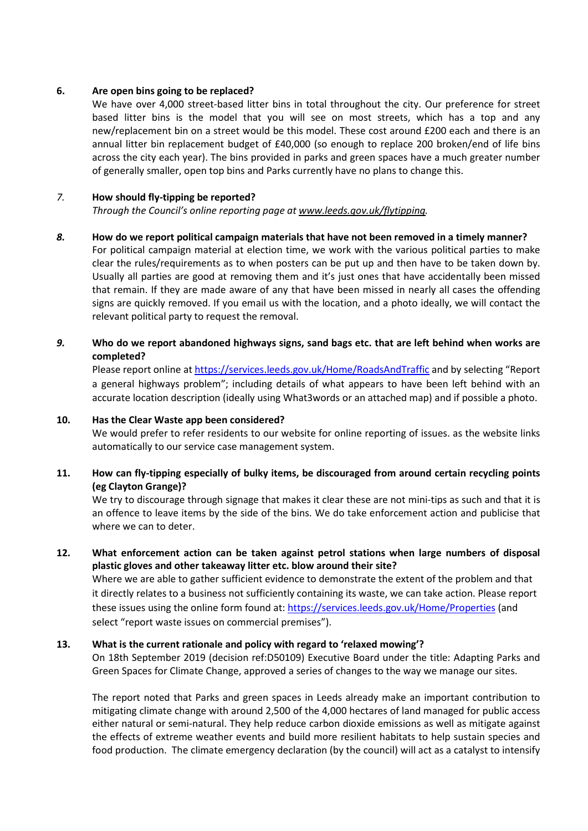#### 6. Are open bins going to be replaced?

We have over 4,000 street-based litter bins in total throughout the city. Our preference for street based litter bins is the model that you will see on most streets, which has a top and any new/replacement bin on a street would be this model. These cost around £200 each and there is an annual litter bin replacement budget of £40,000 (so enough to replace 200 broken/end of life bins across the city each year). The bins provided in parks and green spaces have a much greater number of generally smaller, open top bins and Parks currently have no plans to change this.

## 7. How should fly-tipping be reported?

Through the Council's online reporting page at www.leeds.gov.uk/flytipping.

## 8. How do we report political campaign materials that have not been removed in a timely manner?

For political campaign material at election time, we work with the various political parties to make clear the rules/requirements as to when posters can be put up and then have to be taken down by. Usually all parties are good at removing them and it's just ones that have accidentally been missed that remain. If they are made aware of any that have been missed in nearly all cases the offending signs are quickly removed. If you email us with the location, and a photo ideally, we will contact the relevant political party to request the removal.

# 9. Who do we report abandoned highways signs, sand bags etc. that are left behind when works are completed?

Please report online at https://services.leeds.gov.uk/Home/RoadsAndTraffic and by selecting "Report a general highways problem"; including details of what appears to have been left behind with an accurate location description (ideally using What3words or an attached map) and if possible a photo.

#### 10. Has the Clear Waste app been considered?

We would prefer to refer residents to our website for online reporting of issues. as the website links automatically to our service case management system.

# 11. How can fly-tipping especially of bulky items, be discouraged from around certain recycling points (eg Clayton Grange)?

We try to discourage through signage that makes it clear these are not mini-tips as such and that it is an offence to leave items by the side of the bins. We do take enforcement action and publicise that where we can to deter.

# 12. What enforcement action can be taken against petrol stations when large numbers of disposal plastic gloves and other takeaway litter etc. blow around their site?

Where we are able to gather sufficient evidence to demonstrate the extent of the problem and that it directly relates to a business not sufficiently containing its waste, we can take action. Please report these issues using the online form found at: https://services.leeds.gov.uk/Home/Properties (and select "report waste issues on commercial premises").

# 13. What is the current rationale and policy with regard to 'relaxed mowing'?

On 18th September 2019 (decision ref:D50109) Executive Board under the title: Adapting Parks and Green Spaces for Climate Change, approved a series of changes to the way we manage our sites.

The report noted that Parks and green spaces in Leeds already make an important contribution to mitigating climate change with around 2,500 of the 4,000 hectares of land managed for public access either natural or semi-natural. They help reduce carbon dioxide emissions as well as mitigate against the effects of extreme weather events and build more resilient habitats to help sustain species and food production. The climate emergency declaration (by the council) will act as a catalyst to intensify